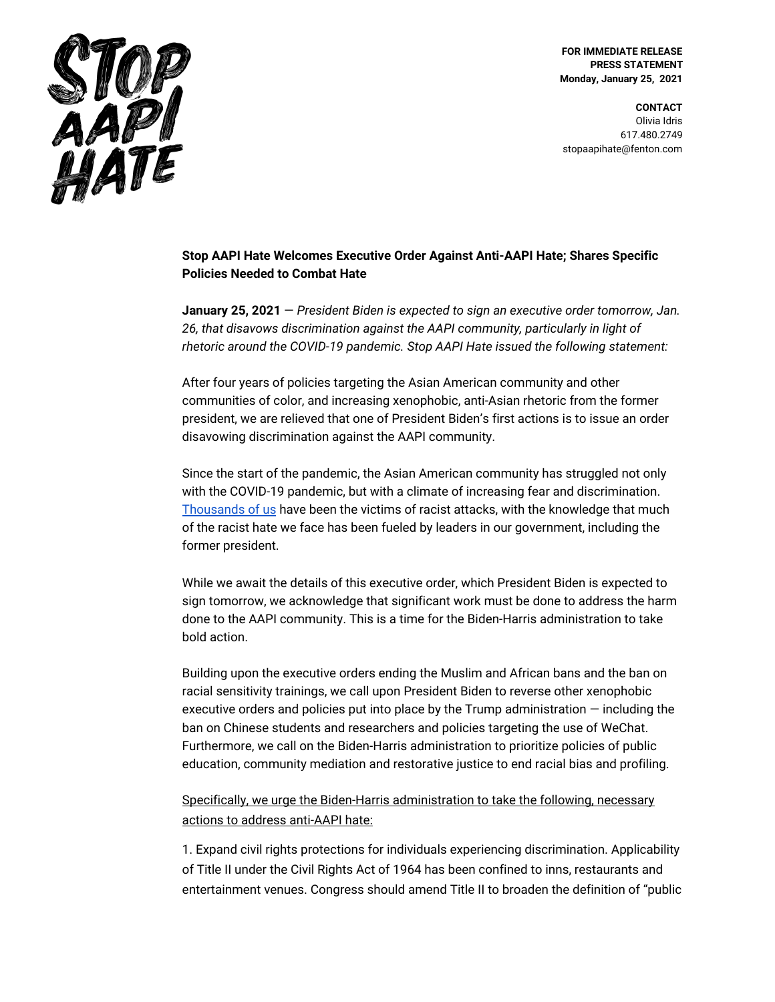

**FOR IMMEDIATE RELEASE PRESS STATEMENT Monday, January 25, 2021**

**CONTACT** Olivia Idris 617.480.2749 stopaapihate@fenton.com

## **Stop AAPI Hate Welcomes Executive Order Against Anti-AAPI Hate; Shares Specific Policies Needed to Combat Hate**

**January 25, 2021** — *President Biden is expected to sign an executive order tomorrow, Jan. 26, that disavows discrimination against the AAPI community, particularly in light of rhetoric around the COVID-19 pandemic. Stop AAPI Hate issued the following statement:*

After four years of policies targeting the Asian American community and other communities of color, and increasing xenophobic, anti-Asian rhetoric from the former president, we are relieved that one of President Biden's first actions is to issue an order disavowing discrimination against the AAPI community.

Since the start of the pandemic, the Asian American community has struggled not only with the COVID-19 pandemic, but with a climate of increasing fear and discrimination. [Thousands](https://secureservercdn.net/104.238.69.231/a1w.90d.myftpupload.com/wp-content/uploads/2020/10/Stop_AAPI_Hate_National_Report_200805.pdf) of us have been the victims of racist attacks, with the knowledge that much of the racist hate we face has been fueled by leaders in our government, including the former president.

While we await the details of this executive order, which President Biden is expected to sign tomorrow, we acknowledge that significant work must be done to address the harm done to the AAPI community. This is a time for the Biden-Harris administration to take bold action.

Building upon the executive orders ending the Muslim and African bans and the ban on racial sensitivity trainings, we call upon President Biden to reverse other xenophobic executive orders and policies put into place by the Trump administration — including the ban on Chinese students and researchers and policies targeting the use of WeChat. Furthermore, we call on the Biden-Harris administration to prioritize policies of public education, community mediation and restorative justice to end racial bias and profiling.

Specifically, we urge the Biden-Harris administration to take the following, necessary actions to address anti-AAPI hate:

1. Expand civil rights protections for individuals experiencing discrimination. Applicability of Title II under the Civil Rights Act of 1964 has been confined to inns, restaurants and entertainment venues. Congress should amend Title II to broaden the definition of "public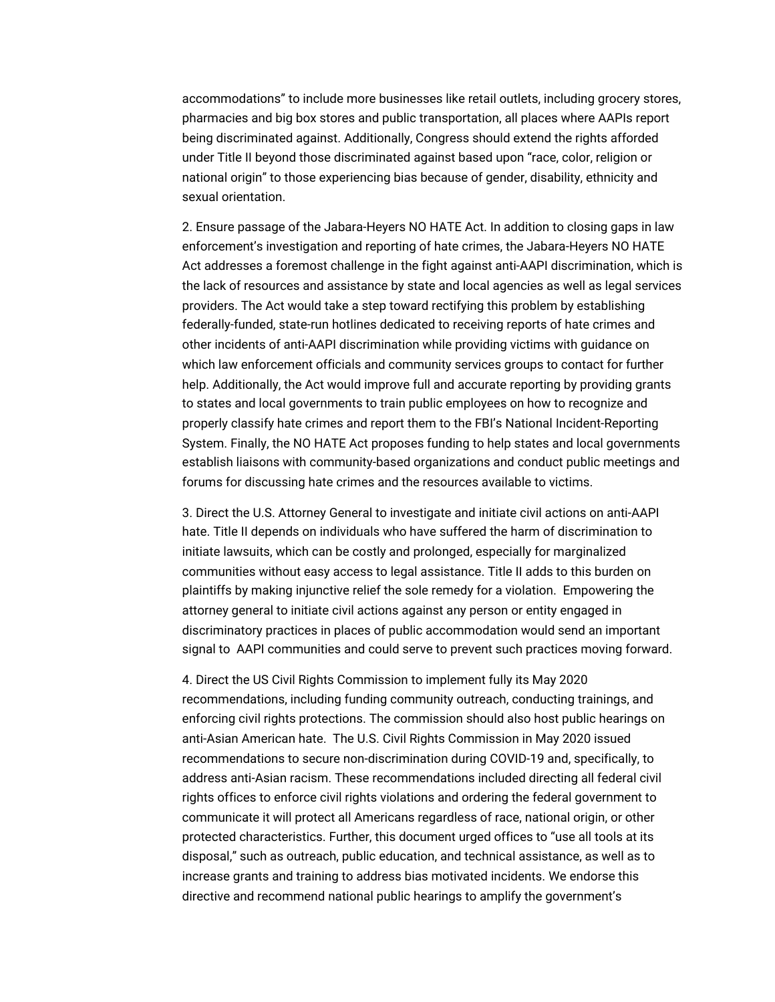accommodations" to include more businesses like retail outlets, including grocery stores, pharmacies and big box stores and public transportation, all places where AAPIs report being discriminated against. Additionally, Congress should extend the rights afforded under Title II beyond those discriminated against based upon "race, color, religion or national origin" to those experiencing bias because of gender, disability, ethnicity and sexual orientation.

2. Ensure passage of the Jabara-Heyers NO HATE Act. In addition to closing gaps in law enforcement's investigation and reporting of hate crimes, the Jabara-Heyers NO HATE Act addresses a foremost challenge in the fight against anti-AAPI discrimination, which is the lack of resources and assistance by state and local agencies as well as legal services providers. The Act would take a step toward rectifying this problem by establishing federally-funded, state-run hotlines dedicated to receiving reports of hate crimes and other incidents of anti-AAPI discrimination while providing victims with guidance on which law enforcement officials and community services groups to contact for further help. Additionally, the Act would improve full and accurate reporting by providing grants to states and local governments to train public employees on how to recognize and properly classify hate crimes and report them to the FBI's National Incident-Reporting System. Finally, the NO HATE Act proposes funding to help states and local governments establish liaisons with community-based organizations and conduct public meetings and forums for discussing hate crimes and the resources available to victims.

3. Direct the U.S. Attorney General to investigate and initiate civil actions on anti-AAPI hate. Title II depends on individuals who have suffered the harm of discrimination to initiate lawsuits, which can be costly and prolonged, especially for marginalized communities without easy access to legal assistance. Title II adds to this burden on plaintiffs by making injunctive relief the sole remedy for a violation. Empowering the attorney general to initiate civil actions against any person or entity engaged in discriminatory practices in places of public accommodation would send an important signal to AAPI communities and could serve to prevent such practices moving forward.

4. Direct the US Civil Rights Commission to implement fully its May 2020 recommendations, including funding community outreach, conducting trainings, and enforcing civil rights protections. The commission should also host public hearings on anti-Asian American hate. The U.S. Civil Rights Commission in May 2020 issued recommendations to secure non-discrimination during COVID-19 and, specifically, to address anti-Asian racism. These recommendations included directing all federal civil rights offices to enforce civil rights violations and ordering the federal government to communicate it will protect all Americans regardless of race, national origin, or other protected characteristics. Further, this document urged offices to "use all tools at its disposal," such as outreach, public education, and technical assistance, as well as to increase grants and training to address bias motivated incidents. We endorse this directive and recommend national public hearings to amplify the government's